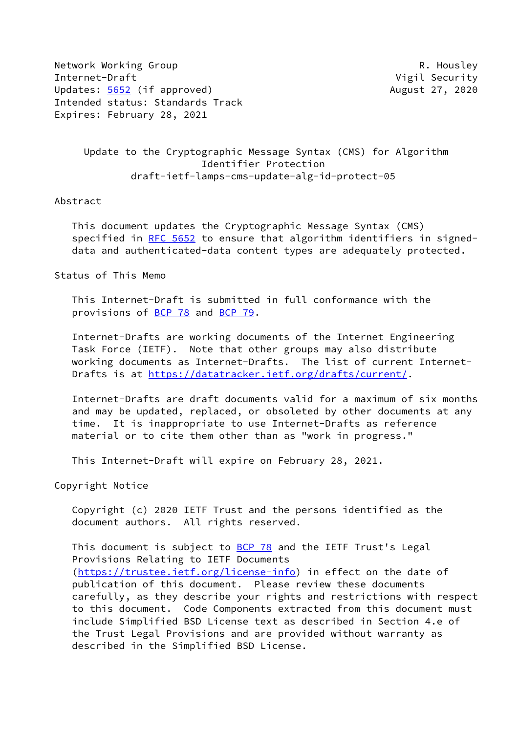Network Working Group **R. Housley** Internet-Draft **Vigil Security** Updates: [5652](https://datatracker.ietf.org/doc/pdf/rfc5652) (if approved) and the control of the August 27, 2020 Intended status: Standards Track Expires: February 28, 2021

 Update to the Cryptographic Message Syntax (CMS) for Algorithm Identifier Protection draft-ietf-lamps-cms-update-alg-id-protect-05

#### Abstract

 This document updates the Cryptographic Message Syntax (CMS) specified in [RFC 5652](https://datatracker.ietf.org/doc/pdf/rfc5652) to ensure that algorithm identifiers in signed data and authenticated-data content types are adequately protected.

Status of This Memo

 This Internet-Draft is submitted in full conformance with the provisions of [BCP 78](https://datatracker.ietf.org/doc/pdf/bcp78) and [BCP 79](https://datatracker.ietf.org/doc/pdf/bcp79).

 Internet-Drafts are working documents of the Internet Engineering Task Force (IETF). Note that other groups may also distribute working documents as Internet-Drafts. The list of current Internet- Drafts is at<https://datatracker.ietf.org/drafts/current/>.

 Internet-Drafts are draft documents valid for a maximum of six months and may be updated, replaced, or obsoleted by other documents at any time. It is inappropriate to use Internet-Drafts as reference material or to cite them other than as "work in progress."

This Internet-Draft will expire on February 28, 2021.

Copyright Notice

 Copyright (c) 2020 IETF Trust and the persons identified as the document authors. All rights reserved.

This document is subject to [BCP 78](https://datatracker.ietf.org/doc/pdf/bcp78) and the IETF Trust's Legal Provisions Relating to IETF Documents [\(https://trustee.ietf.org/license-info](https://trustee.ietf.org/license-info)) in effect on the date of publication of this document. Please review these documents carefully, as they describe your rights and restrictions with respect to this document. Code Components extracted from this document must include Simplified BSD License text as described in Section 4.e of the Trust Legal Provisions and are provided without warranty as described in the Simplified BSD License.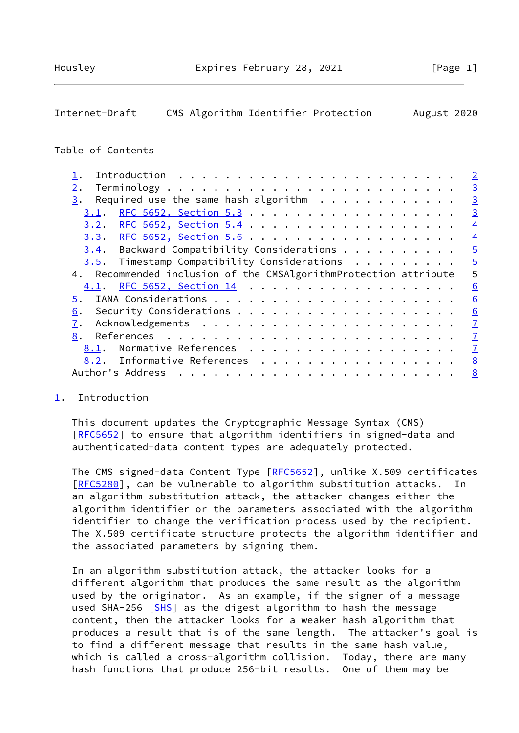# <span id="page-1-1"></span>Internet-Draft CMS Algorithm Identifier Protection August 2020

### Table of Contents

|                                                                  | $\overline{2}$ |
|------------------------------------------------------------------|----------------|
| 2.                                                               | $\overline{3}$ |
| Required use the same hash algorithm $\cdots$<br>3.              | $\overline{3}$ |
| 3.1.                                                             | $\overline{3}$ |
| <u>3.2. RFC 5652, Section 5.4</u>                                | $\overline{4}$ |
|                                                                  | $\overline{4}$ |
| $3.4$ . Backward Compatibility Considerations                    | $\overline{5}$ |
| $3.5$ . Timestamp Compatibility Considerations                   | $\overline{5}$ |
| 4. Recommended inclusion of the CMSAlgorithmProtection attribute | 5              |
| 4.1. RFC 5652, Section 14                                        | 6              |
| 5.                                                               | 6              |
| 6.                                                               | 6              |
| 7.                                                               | $\overline{1}$ |
| 8.                                                               | $\overline{1}$ |
| Normative References<br>8.1.                                     | $\overline{1}$ |
| 8.2. Informative References                                      | 8              |
| Author's Address                                                 | 8              |

### <span id="page-1-0"></span>[1](#page-1-0). Introduction

 This document updates the Cryptographic Message Syntax (CMS) [\[RFC5652](https://datatracker.ietf.org/doc/pdf/rfc5652)] to ensure that algorithm identifiers in signed-data and authenticated-data content types are adequately protected.

 The CMS signed-data Content Type [\[RFC5652](https://datatracker.ietf.org/doc/pdf/rfc5652)], unlike X.509 certificates [\[RFC5280](https://datatracker.ietf.org/doc/pdf/rfc5280)], can be vulnerable to algorithm substitution attacks. In an algorithm substitution attack, the attacker changes either the algorithm identifier or the parameters associated with the algorithm identifier to change the verification process used by the recipient. The X.509 certificate structure protects the algorithm identifier and the associated parameters by signing them.

 In an algorithm substitution attack, the attacker looks for a different algorithm that produces the same result as the algorithm used by the originator. As an example, if the signer of a message used SHA-256 [\[SHS](#page-8-0)] as the digest algorithm to hash the message content, then the attacker looks for a weaker hash algorithm that produces a result that is of the same length. The attacker's goal is to find a different message that results in the same hash value, which is called a cross-algorithm collision. Today, there are many hash functions that produce 256-bit results. One of them may be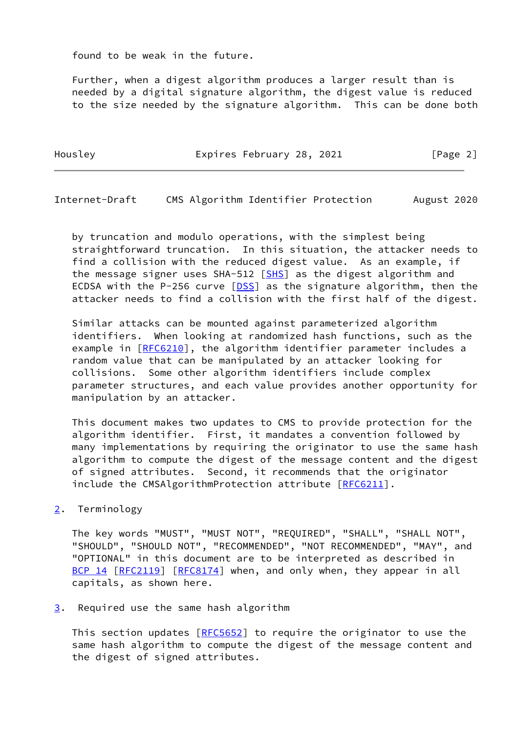found to be weak in the future.

 Further, when a digest algorithm produces a larger result than is needed by a digital signature algorithm, the digest value is reduced to the size needed by the signature algorithm. This can be done both

Housley **Expires February 28, 2021** [Page 2]

<span id="page-2-1"></span>Internet-Draft CMS Algorithm Identifier Protection August 2020

 by truncation and modulo operations, with the simplest being straightforward truncation. In this situation, the attacker needs to find a collision with the reduced digest value. As an example, if the message signer uses SHA-512 [\[SHS](#page-8-0)] as the digest algorithm and ECDSA with the P-256 curve [[DSS\]](#page-8-1) as the signature algorithm, then the attacker needs to find a collision with the first half of the digest.

 Similar attacks can be mounted against parameterized algorithm identifiers. When looking at randomized hash functions, such as the example in [[RFC6210\]](https://datatracker.ietf.org/doc/pdf/rfc6210), the algorithm identifier parameter includes a random value that can be manipulated by an attacker looking for collisions. Some other algorithm identifiers include complex parameter structures, and each value provides another opportunity for manipulation by an attacker.

 This document makes two updates to CMS to provide protection for the algorithm identifier. First, it mandates a convention followed by many implementations by requiring the originator to use the same hash algorithm to compute the digest of the message content and the digest of signed attributes. Second, it recommends that the originator include the CMSAlgorithmProtection attribute [\[RFC6211](https://datatracker.ietf.org/doc/pdf/rfc6211)].

<span id="page-2-0"></span>[2](#page-2-0). Terminology

 The key words "MUST", "MUST NOT", "REQUIRED", "SHALL", "SHALL NOT", "SHOULD", "SHOULD NOT", "RECOMMENDED", "NOT RECOMMENDED", "MAY", and "OPTIONAL" in this document are to be interpreted as described in [BCP 14](https://datatracker.ietf.org/doc/pdf/bcp14) [\[RFC2119](https://datatracker.ietf.org/doc/pdf/rfc2119)] [\[RFC8174](https://datatracker.ietf.org/doc/pdf/rfc8174)] when, and only when, they appear in all capitals, as shown here.

<span id="page-2-2"></span>[3](#page-2-2). Required use the same hash algorithm

This section updates [\[RFC5652](https://datatracker.ietf.org/doc/pdf/rfc5652)] to require the originator to use the same hash algorithm to compute the digest of the message content and the digest of signed attributes.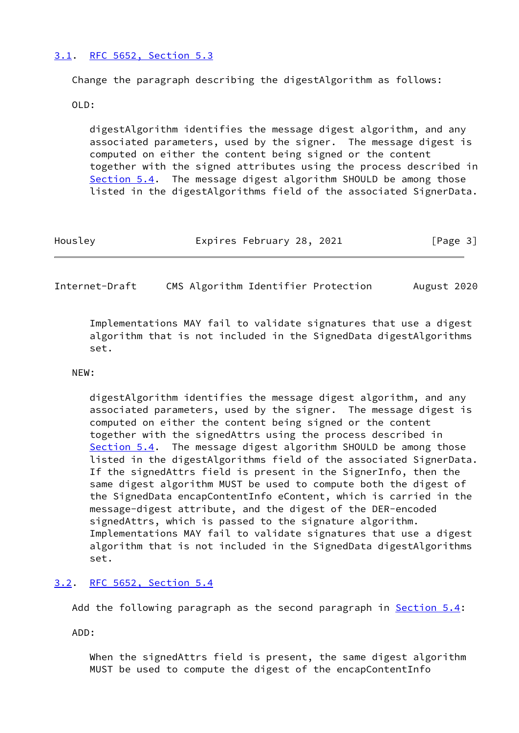## <span id="page-3-0"></span>[3.1](#page-3-0). [RFC 5652, Section](https://datatracker.ietf.org/doc/pdf/rfc5652#section-5.3) 5.3

Change the paragraph describing the digestAlgorithm as follows:

OLD:

 digestAlgorithm identifies the message digest algorithm, and any associated parameters, used by the signer. The message digest is computed on either the content being signed or the content together with the signed attributes using the process described in Section 5.4. The message digest algorithm SHOULD be among those listed in the digestAlgorithms field of the associated SignerData.

| Housley | Expires February 28, 2021 | [Page 3] |
|---------|---------------------------|----------|
|         |                           |          |

<span id="page-3-2"></span>Internet-Draft CMS Algorithm Identifier Protection August 2020

 Implementations MAY fail to validate signatures that use a digest algorithm that is not included in the SignedData digestAlgorithms set.

### NEW:

 digestAlgorithm identifies the message digest algorithm, and any associated parameters, used by the signer. The message digest is computed on either the content being signed or the content together with the signedAttrs using the process described in Section 5.4. The message digest algorithm SHOULD be among those listed in the digestAlgorithms field of the associated SignerData. If the signedAttrs field is present in the SignerInfo, then the same digest algorithm MUST be used to compute both the digest of the SignedData encapContentInfo eContent, which is carried in the message-digest attribute, and the digest of the DER-encoded signedAttrs, which is passed to the signature algorithm. Implementations MAY fail to validate signatures that use a digest algorithm that is not included in the SignedData digestAlgorithms set.

### <span id="page-3-1"></span>[3.2](#page-3-1). [RFC 5652, Section](https://datatracker.ietf.org/doc/pdf/rfc5652#section-5.4) 5.4

Add the following paragraph as the second paragraph in Section 5.4:

ADD:

 When the signedAttrs field is present, the same digest algorithm MUST be used to compute the digest of the encapContentInfo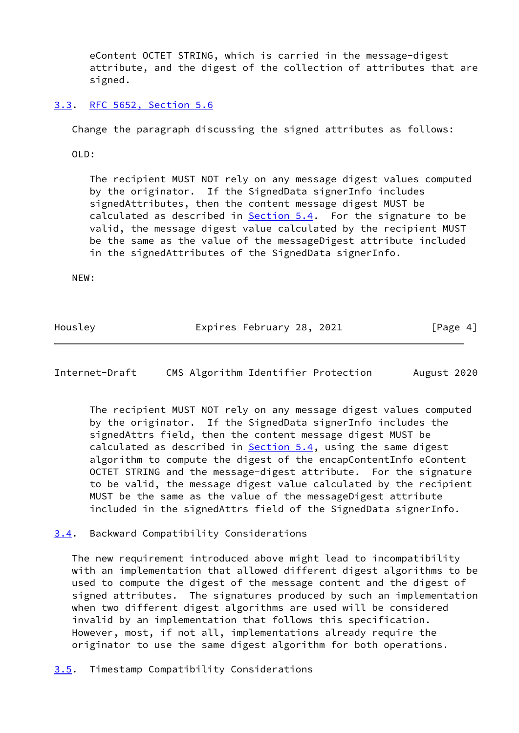eContent OCTET STRING, which is carried in the message-digest attribute, and the digest of the collection of attributes that are signed.

<span id="page-4-0"></span>[3.3](#page-4-0). [RFC 5652, Section](https://datatracker.ietf.org/doc/pdf/rfc5652#section-5.6) 5.6

Change the paragraph discussing the signed attributes as follows:

OLD:

 The recipient MUST NOT rely on any message digest values computed by the originator. If the SignedData signerInfo includes signedAttributes, then the content message digest MUST be calculated as described in  $Section 5.4$ . For the signature to be valid, the message digest value calculated by the recipient MUST be the same as the value of the messageDigest attribute included in the signedAttributes of the SignedData signerInfo.

NEW:

Housley **Expires February 28, 2021** [Page 4]

<span id="page-4-2"></span>Internet-Draft CMS Algorithm Identifier Protection August 2020

 The recipient MUST NOT rely on any message digest values computed by the originator. If the SignedData signerInfo includes the signedAttrs field, then the content message digest MUST be calculated as described in Section 5.4, using the same digest algorithm to compute the digest of the encapContentInfo eContent OCTET STRING and the message-digest attribute. For the signature to be valid, the message digest value calculated by the recipient MUST be the same as the value of the messageDigest attribute included in the signedAttrs field of the SignedData signerInfo.

<span id="page-4-1"></span>[3.4](#page-4-1). Backward Compatibility Considerations

 The new requirement introduced above might lead to incompatibility with an implementation that allowed different digest algorithms to be used to compute the digest of the message content and the digest of signed attributes. The signatures produced by such an implementation when two different digest algorithms are used will be considered invalid by an implementation that follows this specification. However, most, if not all, implementations already require the originator to use the same digest algorithm for both operations.

<span id="page-4-3"></span>[3.5](#page-4-3). Timestamp Compatibility Considerations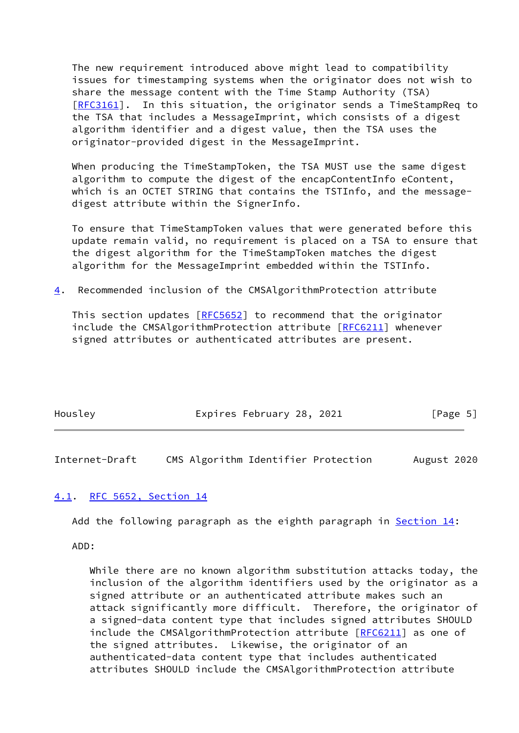The new requirement introduced above might lead to compatibility issues for timestamping systems when the originator does not wish to share the message content with the Time Stamp Authority (TSA) [\[RFC3161](https://datatracker.ietf.org/doc/pdf/rfc3161)]. In this situation, the originator sends a TimeStampReq to the TSA that includes a MessageImprint, which consists of a digest algorithm identifier and a digest value, then the TSA uses the originator-provided digest in the MessageImprint.

 When producing the TimeStampToken, the TSA MUST use the same digest algorithm to compute the digest of the encapContentInfo eContent, which is an OCTET STRING that contains the TSTInfo, and the message digest attribute within the SignerInfo.

 To ensure that TimeStampToken values that were generated before this update remain valid, no requirement is placed on a TSA to ensure that the digest algorithm for the TimeStampToken matches the digest algorithm for the MessageImprint embedded within the TSTInfo.

<span id="page-5-2"></span>[4](#page-5-2). Recommended inclusion of the CMSAlgorithmProtection attribute

This section updates [\[RFC5652](https://datatracker.ietf.org/doc/pdf/rfc5652)] to recommend that the originator include the CMSAlgorithmProtection attribute [\[RFC6211](https://datatracker.ietf.org/doc/pdf/rfc6211)] whenever signed attributes or authenticated attributes are present.

| Housley | Expires February 28, 2021 |  | [Page 5] |
|---------|---------------------------|--|----------|
|         |                           |  |          |

<span id="page-5-1"></span>Internet-Draft CMS Algorithm Identifier Protection August 2020

### <span id="page-5-0"></span>[4.1](#page-5-0). [RFC 5652, Section](https://datatracker.ietf.org/doc/pdf/rfc5652#section-14) 14

Add the following paragraph as the eighth paragraph in Section 14:

ADD:

 While there are no known algorithm substitution attacks today, the inclusion of the algorithm identifiers used by the originator as a signed attribute or an authenticated attribute makes such an attack significantly more difficult. Therefore, the originator of a signed-data content type that includes signed attributes SHOULD include the CMSAlgorithmProtection attribute [\[RFC6211](https://datatracker.ietf.org/doc/pdf/rfc6211)] as one of the signed attributes. Likewise, the originator of an authenticated-data content type that includes authenticated attributes SHOULD include the CMSAlgorithmProtection attribute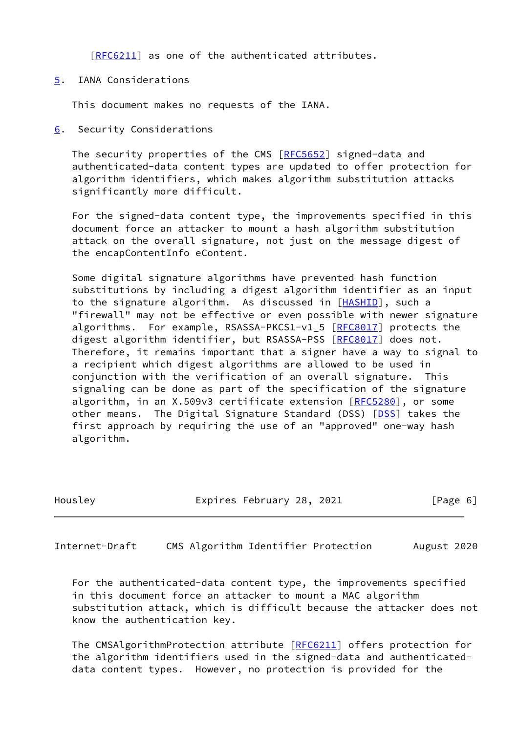[[RFC6211\]](https://datatracker.ietf.org/doc/pdf/rfc6211) as one of the authenticated attributes.

<span id="page-6-0"></span>[5](#page-6-0). IANA Considerations

This document makes no requests of the IANA.

<span id="page-6-1"></span>[6](#page-6-1). Security Considerations

The security properties of the CMS [[RFC5652\]](https://datatracker.ietf.org/doc/pdf/rfc5652) signed-data and authenticated-data content types are updated to offer protection for algorithm identifiers, which makes algorithm substitution attacks significantly more difficult.

 For the signed-data content type, the improvements specified in this document force an attacker to mount a hash algorithm substitution attack on the overall signature, not just on the message digest of the encapContentInfo eContent.

 Some digital signature algorithms have prevented hash function substitutions by including a digest algorithm identifier as an input to the signature algorithm. As discussed in [\[HASHID](#page-8-2)], such a "firewall" may not be effective or even possible with newer signature algorithms. For example, RSASSA-PKCS1-v1\_5 [\[RFC8017](https://datatracker.ietf.org/doc/pdf/rfc8017)] protects the digest algorithm identifier, but RSASSA-PSS [\[RFC8017](https://datatracker.ietf.org/doc/pdf/rfc8017)] does not. Therefore, it remains important that a signer have a way to signal to a recipient which digest algorithms are allowed to be used in conjunction with the verification of an overall signature. This signaling can be done as part of the specification of the signature algorithm, in an X.509v3 certificate extension [\[RFC5280](https://datatracker.ietf.org/doc/pdf/rfc5280)], or some other means. The Digital Signature Standard (DSS) [[DSS\]](#page-8-1) takes the first approach by requiring the use of an "approved" one-way hash algorithm.

| Housley |  |
|---------|--|

Expires February 28, 2021 [Page 6]

<span id="page-6-2"></span>Internet-Draft CMS Algorithm Identifier Protection August 2020

 For the authenticated-data content type, the improvements specified in this document force an attacker to mount a MAC algorithm substitution attack, which is difficult because the attacker does not know the authentication key.

The CMSAlgorithmProtection attribute [\[RFC6211](https://datatracker.ietf.org/doc/pdf/rfc6211)] offers protection for the algorithm identifiers used in the signed-data and authenticated data content types. However, no protection is provided for the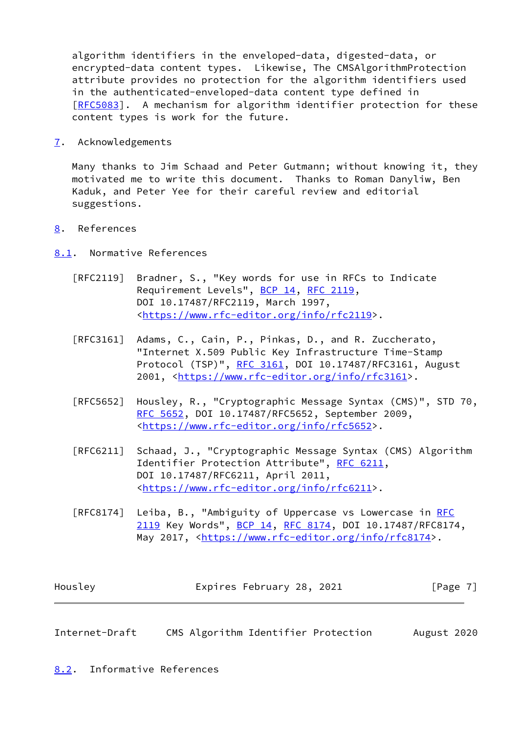algorithm identifiers in the enveloped-data, digested-data, or encrypted-data content types. Likewise, The CMSAlgorithmProtection attribute provides no protection for the algorithm identifiers used in the authenticated-enveloped-data content type defined in [\[RFC5083](https://datatracker.ietf.org/doc/pdf/rfc5083)]. A mechanism for algorithm identifier protection for these content types is work for the future.

<span id="page-7-0"></span>[7](#page-7-0). Acknowledgements

 Many thanks to Jim Schaad and Peter Gutmann; without knowing it, they motivated me to write this document. Thanks to Roman Danyliw, Ben Kaduk, and Peter Yee for their careful review and editorial suggestions.

<span id="page-7-1"></span>[8](#page-7-1). References

<span id="page-7-2"></span>[8.1](#page-7-2). Normative References

- [RFC2119] Bradner, S., "Key words for use in RFCs to Indicate Requirement Levels", [BCP 14](https://datatracker.ietf.org/doc/pdf/bcp14), [RFC 2119](https://datatracker.ietf.org/doc/pdf/rfc2119), DOI 10.17487/RFC2119, March 1997, <[https://www.rfc-editor.org/info/rfc2119>](https://www.rfc-editor.org/info/rfc2119).
- [RFC3161] Adams, C., Cain, P., Pinkas, D., and R. Zuccherato, "Internet X.509 Public Key Infrastructure Time-Stamp Protocol (TSP)", [RFC 3161,](https://datatracker.ietf.org/doc/pdf/rfc3161) DOI 10.17487/RFC3161, August 2001, [<https://www.rfc-editor.org/info/rfc3161](https://www.rfc-editor.org/info/rfc3161)>.
- [RFC5652] Housley, R., "Cryptographic Message Syntax (CMS)", STD 70, [RFC 5652,](https://datatracker.ietf.org/doc/pdf/rfc5652) DOI 10.17487/RFC5652, September 2009, <[https://www.rfc-editor.org/info/rfc5652>](https://www.rfc-editor.org/info/rfc5652).
- [RFC6211] Schaad, J., "Cryptographic Message Syntax (CMS) Algorithm Identifier Protection Attribute", [RFC 6211](https://datatracker.ietf.org/doc/pdf/rfc6211), DOI 10.17487/RFC6211, April 2011, <[https://www.rfc-editor.org/info/rfc6211>](https://www.rfc-editor.org/info/rfc6211).
- [RFC8174] Leiba, B., "Ambiguity of Uppercase vs Lowercase in [RFC](https://datatracker.ietf.org/doc/pdf/rfc2119) [2119](https://datatracker.ietf.org/doc/pdf/rfc2119) Key Words", [BCP 14](https://datatracker.ietf.org/doc/pdf/bcp14), [RFC 8174,](https://datatracker.ietf.org/doc/pdf/rfc8174) DOI 10.17487/RFC8174, May 2017, [<https://www.rfc-editor.org/info/rfc8174](https://www.rfc-editor.org/info/rfc8174)>.

| Housley | Expires February 28, 2021 | [Page 7] |
|---------|---------------------------|----------|
|---------|---------------------------|----------|

<span id="page-7-4"></span>Internet-Draft CMS Algorithm Identifier Protection August 2020

<span id="page-7-3"></span>[8.2](#page-7-3). Informative References